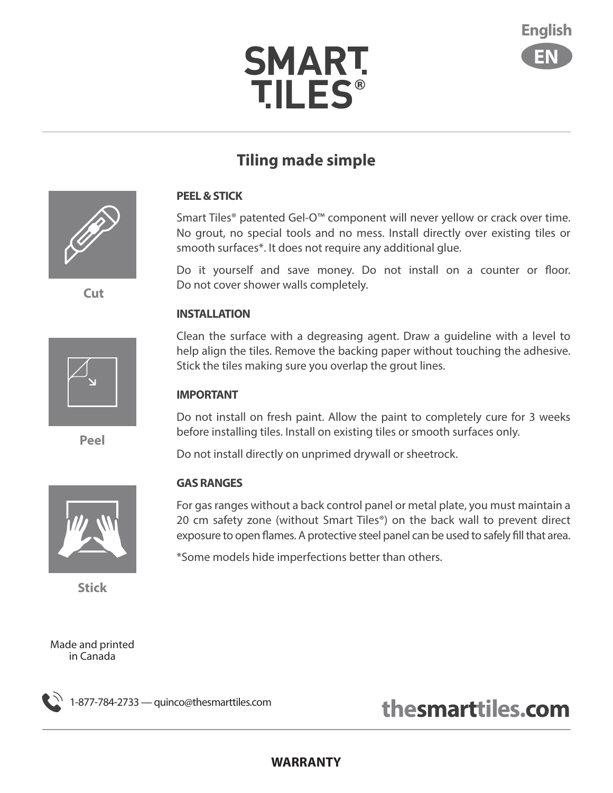# **SMART TILES®**



### **Tiling made simple**

#### **PEEL & STICK**

Smart Tiles® patented Gel-O™ component will never yellow or crack over time. No grout, no special tools and no mess. Install directly over existing tiles or smooth surfaces\*. It does not require any additional glue.

Do it yourself and save money. Do not install on a counter or floor. Do not cover shower walls completely.

#### **INSTALLATION**

Clean the surface with a degreasing agent. Draw a guideline with a level to help align the tiles. Remove the backing paper without touching the adhesive. Stick the tiles making sure you overlap the grout lines.

#### **IMPORTANT**

Do not install on fresh paint. Allow the paint to completely cure for 3 weeks before installing tiles. Install on existing tiles or smooth surfaces only.

Do not install directly on unprimed drywall or sheetrock.

#### **GAS RANGES**

For gas ranges without a back control panel or metal plate, you must maintain a 20 cm safety zone (without Smart Tiles®) on the back wall to prevent direct exposure to open flames. A protective steel panel can be used to safely fill that area.

\*Some models hide imperfections better than others.



 **Cut**



**Peel**



**Stick**

Made and printed in Canada



# **thesmarttiles.com thesmarttiles.com 1-877-784-2733** — quinco@thesmarttiles.com

#### **WARRANTY**